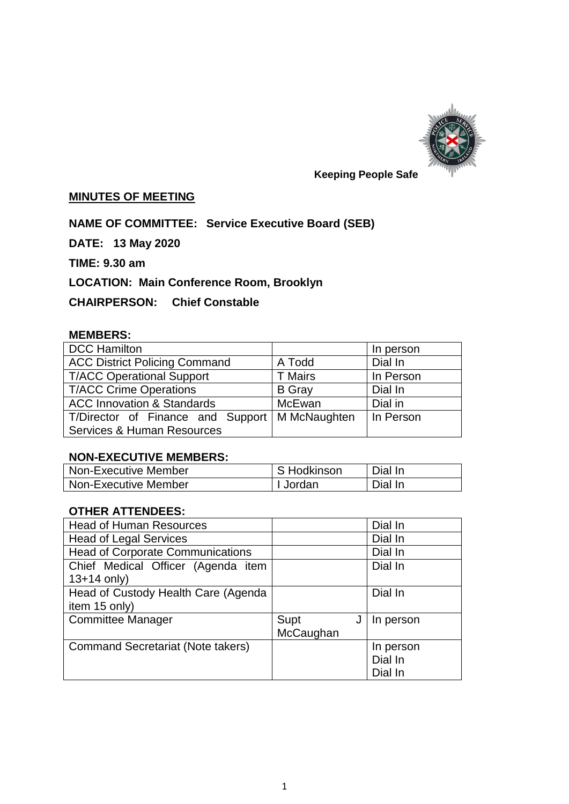

## **MINUTES OF MEETING**

# **NAME OF COMMITTEE: Service Executive Board (SEB)**

**DATE: 13 May 2020**

**TIME: 9.30 am**

# **LOCATION: Main Conference Room, Brooklyn**

# **CHAIRPERSON: Chief Constable**

#### **MEMBERS:**

| <b>DCC Hamilton</b>                   |                | In person |
|---------------------------------------|----------------|-----------|
| <b>ACC District Policing Command</b>  | A Todd         | Dial In   |
| <b>T/ACC Operational Support</b>      | <b>T</b> Mairs | In Person |
| <b>T/ACC Crime Operations</b>         | <b>B</b> Gray  | Dial In   |
| <b>ACC Innovation &amp; Standards</b> | McEwan         | Dial in   |
| T/Director of Finance and Support     | M McNaughten   | In Person |
| <b>Services &amp; Human Resources</b> |                |           |

## **NON-EXECUTIVE MEMBERS:**

| Non-Executive Member | ∣ S Hodkinson | Dial In |
|----------------------|---------------|---------|
| Non-Executive Member | I Jordan      | Dial In |

# **OTHER ATTENDEES:**

| <b>Head of Human Resources</b>           |           | Dial In   |
|------------------------------------------|-----------|-----------|
| <b>Head of Legal Services</b>            |           | Dial In   |
| <b>Head of Corporate Communications</b>  |           | Dial In   |
| Chief Medical Officer (Agenda item       |           | Dial In   |
| $13+14$ only)                            |           |           |
| Head of Custody Health Care (Agenda      |           | Dial In   |
| item 15 only)                            |           |           |
| <b>Committee Manager</b>                 | Supt      | In person |
|                                          | McCaughan |           |
| <b>Command Secretariat (Note takers)</b> |           | In person |
|                                          |           | Dial In   |
|                                          |           | Dial In   |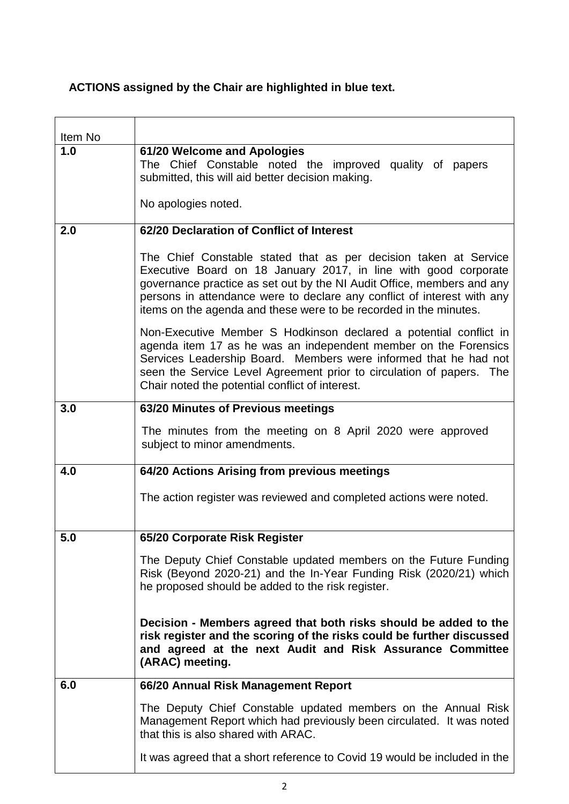# **ACTIONS assigned by the Chair are highlighted in blue text.**

| Item No |                                                                                                                                                                                                                                                                                                                                                               |
|---------|---------------------------------------------------------------------------------------------------------------------------------------------------------------------------------------------------------------------------------------------------------------------------------------------------------------------------------------------------------------|
| 1.0     | 61/20 Welcome and Apologies<br>The Chief Constable noted the improved quality of papers<br>submitted, this will aid better decision making.                                                                                                                                                                                                                   |
|         | No apologies noted.                                                                                                                                                                                                                                                                                                                                           |
| 2.0     | 62/20 Declaration of Conflict of Interest                                                                                                                                                                                                                                                                                                                     |
|         | The Chief Constable stated that as per decision taken at Service<br>Executive Board on 18 January 2017, in line with good corporate<br>governance practice as set out by the NI Audit Office, members and any<br>persons in attendance were to declare any conflict of interest with any<br>items on the agenda and these were to be recorded in the minutes. |
|         | Non-Executive Member S Hodkinson declared a potential conflict in<br>agenda item 17 as he was an independent member on the Forensics<br>Services Leadership Board. Members were informed that he had not<br>seen the Service Level Agreement prior to circulation of papers. The<br>Chair noted the potential conflict of interest.                           |
| 3.0     | 63/20 Minutes of Previous meetings                                                                                                                                                                                                                                                                                                                            |
|         | The minutes from the meeting on 8 April 2020 were approved<br>subject to minor amendments.                                                                                                                                                                                                                                                                    |
| 4.0     | 64/20 Actions Arising from previous meetings                                                                                                                                                                                                                                                                                                                  |
|         | The action register was reviewed and completed actions were noted.                                                                                                                                                                                                                                                                                            |
| 5.0     | 65/20 Corporate Risk Register                                                                                                                                                                                                                                                                                                                                 |
|         | The Deputy Chief Constable updated members on the Future Funding<br>Risk (Beyond 2020-21) and the In-Year Funding Risk (2020/21) which<br>he proposed should be added to the risk register.                                                                                                                                                                   |
|         | Decision - Members agreed that both risks should be added to the<br>risk register and the scoring of the risks could be further discussed<br>and agreed at the next Audit and Risk Assurance Committee<br>(ARAC) meeting.                                                                                                                                     |
| 6.0     | 66/20 Annual Risk Management Report                                                                                                                                                                                                                                                                                                                           |
|         | The Deputy Chief Constable updated members on the Annual Risk<br>Management Report which had previously been circulated. It was noted<br>that this is also shared with ARAC.                                                                                                                                                                                  |
|         | It was agreed that a short reference to Covid 19 would be included in the                                                                                                                                                                                                                                                                                     |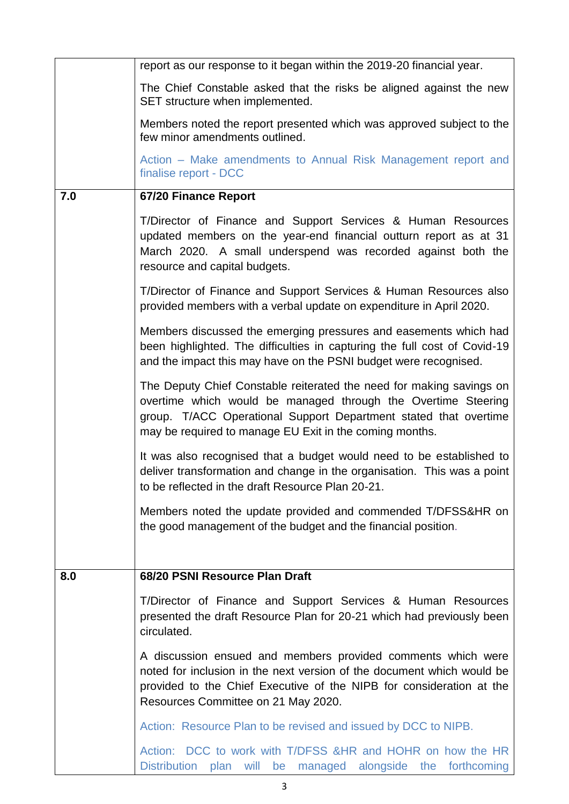|     | report as our response to it began within the 2019-20 financial year.                                                                                                                                                                                                |
|-----|----------------------------------------------------------------------------------------------------------------------------------------------------------------------------------------------------------------------------------------------------------------------|
|     | The Chief Constable asked that the risks be aligned against the new<br>SET structure when implemented.                                                                                                                                                               |
|     | Members noted the report presented which was approved subject to the<br>few minor amendments outlined.                                                                                                                                                               |
|     | Action – Make amendments to Annual Risk Management report and<br>finalise report - DCC                                                                                                                                                                               |
| 7.0 | 67/20 Finance Report                                                                                                                                                                                                                                                 |
|     | T/Director of Finance and Support Services & Human Resources<br>updated members on the year-end financial outturn report as at 31<br>March 2020. A small underspend was recorded against both the<br>resource and capital budgets.                                   |
|     | T/Director of Finance and Support Services & Human Resources also<br>provided members with a verbal update on expenditure in April 2020.                                                                                                                             |
|     | Members discussed the emerging pressures and easements which had<br>been highlighted. The difficulties in capturing the full cost of Covid-19<br>and the impact this may have on the PSNI budget were recognised.                                                    |
|     | The Deputy Chief Constable reiterated the need for making savings on<br>overtime which would be managed through the Overtime Steering<br>group. T/ACC Operational Support Department stated that overtime<br>may be required to manage EU Exit in the coming months. |
|     | It was also recognised that a budget would need to be established to<br>deliver transformation and change in the organisation. This was a point<br>to be reflected in the draft Resource Plan 20-21.                                                                 |
|     | Members noted the update provided and commended T/DFSS&HR on<br>the good management of the budget and the financial position.                                                                                                                                        |
| 8.0 | 68/20 PSNI Resource Plan Draft                                                                                                                                                                                                                                       |
|     | T/Director of Finance and Support Services & Human Resources                                                                                                                                                                                                         |
|     | presented the draft Resource Plan for 20-21 which had previously been<br>circulated.                                                                                                                                                                                 |
|     | A discussion ensued and members provided comments which were<br>noted for inclusion in the next version of the document which would be<br>provided to the Chief Executive of the NIPB for consideration at the<br>Resources Committee on 21 May 2020.                |
|     | Action: Resource Plan to be revised and issued by DCC to NIPB.                                                                                                                                                                                                       |
|     | Action: DCC to work with T/DFSS & HR and HOHR on how the HR<br>Distribution plan will be managed alongside the forthcoming                                                                                                                                           |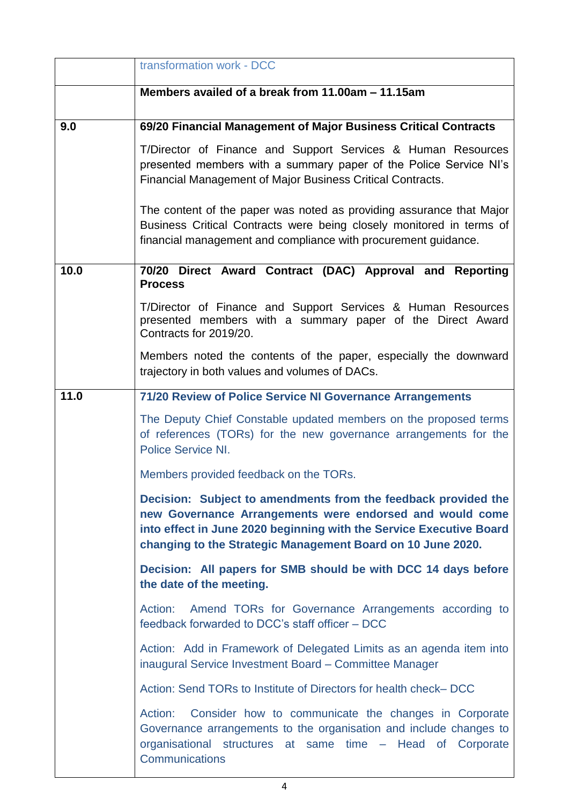|      | transformation work - DCC                                                                                                                                                                                                                                        |
|------|------------------------------------------------------------------------------------------------------------------------------------------------------------------------------------------------------------------------------------------------------------------|
|      | Members availed of a break from 11.00am – 11.15am                                                                                                                                                                                                                |
| 9.0  | 69/20 Financial Management of Major Business Critical Contracts                                                                                                                                                                                                  |
|      | T/Director of Finance and Support Services & Human Resources<br>presented members with a summary paper of the Police Service NI's<br>Financial Management of Major Business Critical Contracts.                                                                  |
|      | The content of the paper was noted as providing assurance that Major<br>Business Critical Contracts were being closely monitored in terms of<br>financial management and compliance with procurement guidance.                                                   |
| 10.0 | 70/20 Direct Award Contract (DAC) Approval and Reporting<br><b>Process</b>                                                                                                                                                                                       |
|      | T/Director of Finance and Support Services & Human Resources<br>presented members with a summary paper of the Direct Award<br>Contracts for 2019/20.                                                                                                             |
|      | Members noted the contents of the paper, especially the downward<br>trajectory in both values and volumes of DACs.                                                                                                                                               |
| 11.0 | 71/20 Review of Police Service NI Governance Arrangements                                                                                                                                                                                                        |
|      | The Deputy Chief Constable updated members on the proposed terms<br>of references (TORs) for the new governance arrangements for the<br>Police Service NI.                                                                                                       |
|      | Members provided feedback on the TORs.                                                                                                                                                                                                                           |
|      | Decision: Subject to amendments from the feedback provided the<br>new Governance Arrangements were endorsed and would come<br>into effect in June 2020 beginning with the Service Executive Board<br>changing to the Strategic Management Board on 10 June 2020. |
|      | Decision: All papers for SMB should be with DCC 14 days before<br>the date of the meeting.                                                                                                                                                                       |
|      | Amend TORs for Governance Arrangements according to<br>Action:<br>feedback forwarded to DCC's staff officer - DCC                                                                                                                                                |
|      | Action: Add in Framework of Delegated Limits as an agenda item into<br>inaugural Service Investment Board - Committee Manager                                                                                                                                    |
|      | Action: Send TORs to Institute of Directors for health check-DCC                                                                                                                                                                                                 |
|      | Action:<br>Consider how to communicate the changes in Corporate<br>Governance arrangements to the organisation and include changes to<br>organisational structures at same time - Head of Corporate<br>Communications                                            |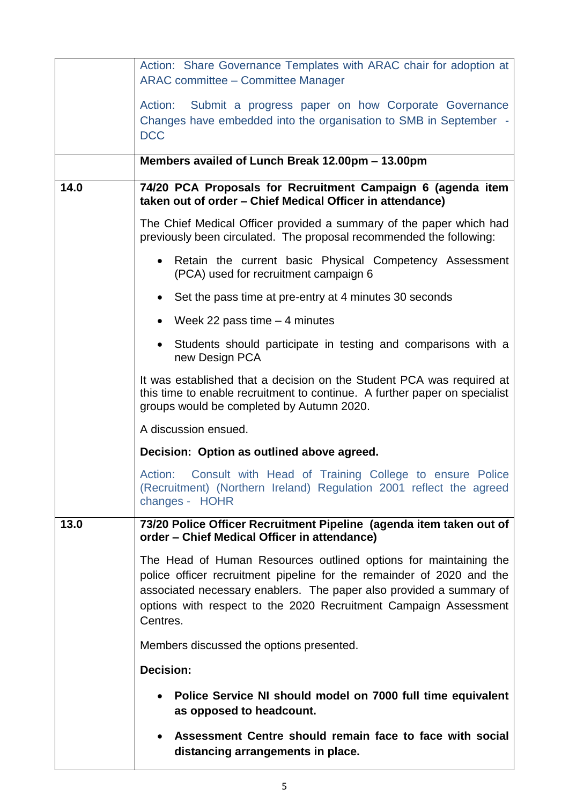|      | Action: Share Governance Templates with ARAC chair for adoption at<br>ARAC committee - Committee Manager                                                                                                                                                                                         |
|------|--------------------------------------------------------------------------------------------------------------------------------------------------------------------------------------------------------------------------------------------------------------------------------------------------|
|      | Action: Submit a progress paper on how Corporate Governance<br>Changes have embedded into the organisation to SMB in September -<br><b>DCC</b>                                                                                                                                                   |
|      | Members availed of Lunch Break 12.00pm - 13.00pm                                                                                                                                                                                                                                                 |
| 14.0 | 74/20 PCA Proposals for Recruitment Campaign 6 (agenda item<br>taken out of order - Chief Medical Officer in attendance)                                                                                                                                                                         |
|      | The Chief Medical Officer provided a summary of the paper which had<br>previously been circulated. The proposal recommended the following:                                                                                                                                                       |
|      | • Retain the current basic Physical Competency Assessment<br>(PCA) used for recruitment campaign 6                                                                                                                                                                                               |
|      | • Set the pass time at pre-entry at 4 minutes 30 seconds                                                                                                                                                                                                                                         |
|      | • Week 22 pass time $-4$ minutes                                                                                                                                                                                                                                                                 |
|      | • Students should participate in testing and comparisons with a<br>new Design PCA                                                                                                                                                                                                                |
|      | It was established that a decision on the Student PCA was required at<br>this time to enable recruitment to continue. A further paper on specialist<br>groups would be completed by Autumn 2020.                                                                                                 |
|      | A discussion ensued.                                                                                                                                                                                                                                                                             |
|      | Decision: Option as outlined above agreed.                                                                                                                                                                                                                                                       |
|      | Consult with Head of Training College to ensure Police<br>Action:<br>(Recruitment) (Northern Ireland) Regulation 2001 reflect the agreed<br>changes - HOHR                                                                                                                                       |
| 13.0 | 73/20 Police Officer Recruitment Pipeline (agenda item taken out of<br>order – Chief Medical Officer in attendance)                                                                                                                                                                              |
|      | The Head of Human Resources outlined options for maintaining the<br>police officer recruitment pipeline for the remainder of 2020 and the<br>associated necessary enablers. The paper also provided a summary of<br>options with respect to the 2020 Recruitment Campaign Assessment<br>Centres. |
|      | Members discussed the options presented.                                                                                                                                                                                                                                                         |
|      | <b>Decision:</b>                                                                                                                                                                                                                                                                                 |
|      | Police Service NI should model on 7000 full time equivalent<br>as opposed to headcount.                                                                                                                                                                                                          |
|      | Assessment Centre should remain face to face with social<br>distancing arrangements in place.                                                                                                                                                                                                    |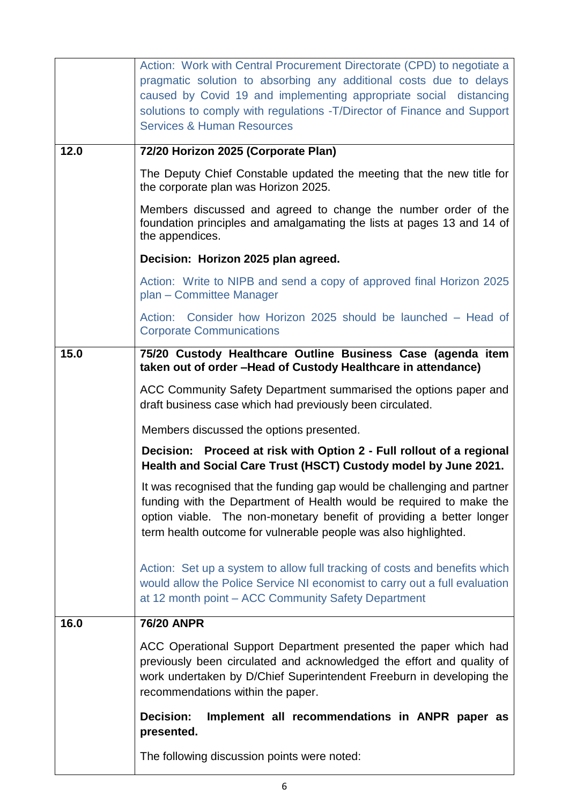|      | Action: Work with Central Procurement Directorate (CPD) to negotiate a<br>pragmatic solution to absorbing any additional costs due to delays<br>caused by Covid 19 and implementing appropriate social distancing<br>solutions to comply with regulations - T/Director of Finance and Support<br><b>Services &amp; Human Resources</b> |
|------|----------------------------------------------------------------------------------------------------------------------------------------------------------------------------------------------------------------------------------------------------------------------------------------------------------------------------------------|
| 12.0 | 72/20 Horizon 2025 (Corporate Plan)                                                                                                                                                                                                                                                                                                    |
|      | The Deputy Chief Constable updated the meeting that the new title for<br>the corporate plan was Horizon 2025.                                                                                                                                                                                                                          |
|      | Members discussed and agreed to change the number order of the<br>foundation principles and amalgamating the lists at pages 13 and 14 of<br>the appendices.                                                                                                                                                                            |
|      | Decision: Horizon 2025 plan agreed.                                                                                                                                                                                                                                                                                                    |
|      | Action: Write to NIPB and send a copy of approved final Horizon 2025<br>plan - Committee Manager                                                                                                                                                                                                                                       |
|      | Action: Consider how Horizon 2025 should be launched - Head of<br><b>Corporate Communications</b>                                                                                                                                                                                                                                      |
| 15.0 | 75/20 Custody Healthcare Outline Business Case (agenda item<br>taken out of order -Head of Custody Healthcare in attendance)                                                                                                                                                                                                           |
|      | ACC Community Safety Department summarised the options paper and<br>draft business case which had previously been circulated.                                                                                                                                                                                                          |
|      | Members discussed the options presented.                                                                                                                                                                                                                                                                                               |
|      | Decision: Proceed at risk with Option 2 - Full rollout of a regional<br>Health and Social Care Trust (HSCT) Custody model by June 2021.                                                                                                                                                                                                |
|      | It was recognised that the funding gap would be challenging and partner  <br>funding with the Department of Health would be required to make the<br>option viable. The non-monetary benefit of providing a better longer<br>term health outcome for vulnerable people was also highlighted.                                            |
|      | Action: Set up a system to allow full tracking of costs and benefits which<br>would allow the Police Service NI economist to carry out a full evaluation<br>at 12 month point – ACC Community Safety Department                                                                                                                        |
| 16.0 | <b>76/20 ANPR</b>                                                                                                                                                                                                                                                                                                                      |
|      | ACC Operational Support Department presented the paper which had<br>previously been circulated and acknowledged the effort and quality of<br>work undertaken by D/Chief Superintendent Freeburn in developing the<br>recommendations within the paper.                                                                                 |
|      | Implement all recommendations in ANPR paper as<br>Decision:<br>presented.                                                                                                                                                                                                                                                              |
|      | The following discussion points were noted:                                                                                                                                                                                                                                                                                            |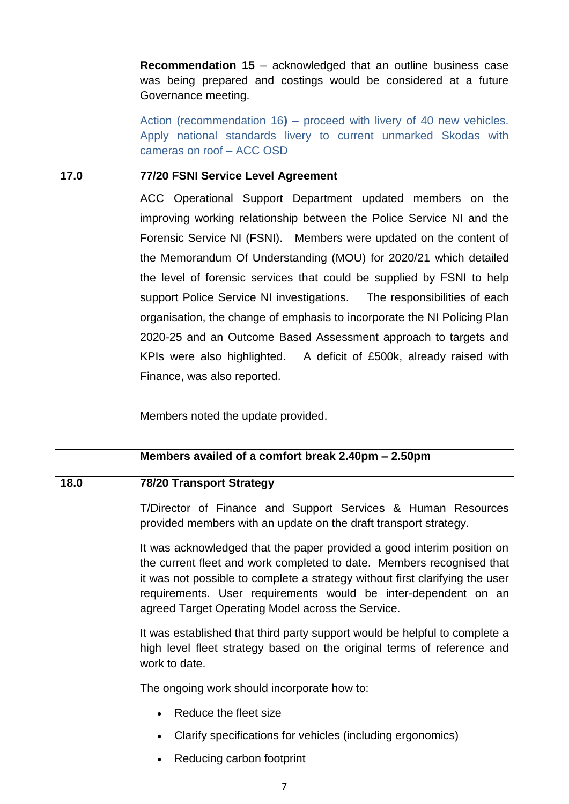|      | Recommendation 15 - acknowledged that an outline business case<br>was being prepared and costings would be considered at a future                                                                                                                                                                                                                      |
|------|--------------------------------------------------------------------------------------------------------------------------------------------------------------------------------------------------------------------------------------------------------------------------------------------------------------------------------------------------------|
|      | Governance meeting.<br>Action (recommendation 16) – proceed with livery of 40 new vehicles.<br>Apply national standards livery to current unmarked Skodas with<br>cameras on roof - ACC OSD                                                                                                                                                            |
| 17.0 | 77/20 FSNI Service Level Agreement                                                                                                                                                                                                                                                                                                                     |
|      | ACC Operational Support Department updated members on the                                                                                                                                                                                                                                                                                              |
|      | improving working relationship between the Police Service NI and the                                                                                                                                                                                                                                                                                   |
|      | Forensic Service NI (FSNI). Members were updated on the content of                                                                                                                                                                                                                                                                                     |
|      | the Memorandum Of Understanding (MOU) for 2020/21 which detailed                                                                                                                                                                                                                                                                                       |
|      | the level of forensic services that could be supplied by FSNI to help                                                                                                                                                                                                                                                                                  |
|      | support Police Service NI investigations. The responsibilities of each                                                                                                                                                                                                                                                                                 |
|      | organisation, the change of emphasis to incorporate the NI Policing Plan                                                                                                                                                                                                                                                                               |
|      | 2020-25 and an Outcome Based Assessment approach to targets and                                                                                                                                                                                                                                                                                        |
|      | KPIs were also highlighted. A deficit of £500k, already raised with<br>Finance, was also reported.                                                                                                                                                                                                                                                     |
|      |                                                                                                                                                                                                                                                                                                                                                        |
|      | Members noted the update provided.                                                                                                                                                                                                                                                                                                                     |
|      | Members availed of a comfort break 2.40pm - 2.50pm                                                                                                                                                                                                                                                                                                     |
| 18.0 | <b>78/20 Transport Strategy</b>                                                                                                                                                                                                                                                                                                                        |
|      | T/Director of Finance and Support Services & Human Resources<br>provided members with an update on the draft transport strategy.                                                                                                                                                                                                                       |
|      | It was acknowledged that the paper provided a good interim position on<br>the current fleet and work completed to date. Members recognised that<br>it was not possible to complete a strategy without first clarifying the user<br>requirements. User requirements would be inter-dependent on an<br>agreed Target Operating Model across the Service. |
|      | It was established that third party support would be helpful to complete a<br>high level fleet strategy based on the original terms of reference and<br>work to date.                                                                                                                                                                                  |
|      | The ongoing work should incorporate how to:                                                                                                                                                                                                                                                                                                            |
|      | Reduce the fleet size                                                                                                                                                                                                                                                                                                                                  |
|      | Clarify specifications for vehicles (including ergonomics)                                                                                                                                                                                                                                                                                             |
|      | Reducing carbon footprint                                                                                                                                                                                                                                                                                                                              |